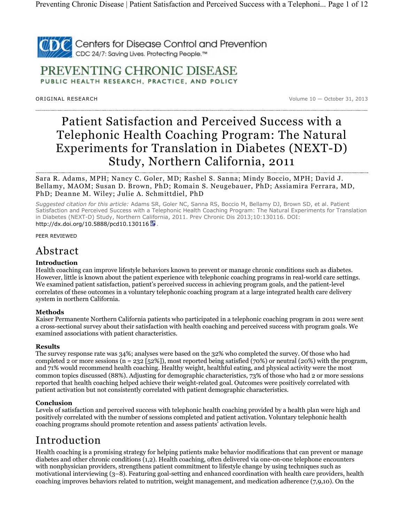

PREVENTING CHRONIC DISEASE PUBLIC HEALTH RESEARCH, PRACTICE, AND POLICY

OR IGINAL RESEARCH Volume 10 — October 31, 2013

# Patient Satisfaction and Perceived Success with a Telephonic Health Coaching Program: The Natural Experiments for Translation in Diabetes (NEXT-D) Study, Northern California, 2011

Sara R. Adams, MPH; Nancy C. Goler, MD; Rashel S. Sanna; Mindy Boccio, MPH; David J. Bellamy, MAOM; Susan D. Brown, PhD; Romain S. Neugebauer, PhD; Assiamira Ferrara, MD, PhD; Deanne M. Wiley; Julie A. Schmittdiel, PhD

Suggested citation for this article: Adams SR, Goler NC, Sanna RS, Boccio M, Bellamy DJ, Brown SD, et al. Patient Satisfaction and Perceived Success with a Telephonic Health Coaching Program: The Natural Experiments for Translation in Diabetes (NEXT-D) Study, Northern California, 2011. Prev Chronic Dis 2013;10:130116. DOI: http://dx.doi.org/10.5888/pcd10.130116

PEER REVIEWED

### Abstract

### Introduction

Health coaching can improve lifestyle behaviors known to prevent or manage chronic conditions such as diabetes. However, little is known about the patient experience with telephonic coaching programs in real-world care settings. We examined patient satisfaction, patient's perceived success in achieving program goals, and the patient-level correlates of these outcomes in a voluntary telephonic coaching program at a large integrated health care delivery system in northern California.

### Methods

Kaiser Permanente Northern California patients who participated in a telephonic coaching program in 2011 were sent a cross-sectional survey about their satisfaction with health coaching and perceived success with program goals. We examined associations with patient characteristics.

### Results

The survey response rate was 34%; analyses were based on the 32% who completed the survey. Of those who had completed 2 or more sessions (n = 232 [52%]), most reported being satisfied (70%) or neutral (20%) with the program, and 71% would recommend health coaching. Healthy weight, healthful eating, and physical activity were the most common topics discussed (88%). Adjusting for demographic characteristics, 73% of those who had 2 or more sessions reported that health coaching helped achieve their weight-related goal. Outcomes were positively correlated with patient activation but not consistently correlated with patient demographic characteristics.

### Conclusion

Levels of satisfaction and perceived success with telephonic health coaching provided by a health plan were high and positively correlated with the number of sessions completed and patient activation. Voluntary telephonic health coaching programs should promote retention and assess patients' activation levels.

## Introduction

Health coaching is a promising strategy for helping patients make behavior modifications that can prevent or manage diabetes and other chronic conditions (1,2). Health coaching, often delivered via one-on-one telephone encounters with nonphysician providers, strengthens patient commitment to lifestyle change by using techniques such as motivational interviewing (3–8). Featuring goal-setting and enhanced coordination with health care providers, health coaching improves behaviors related to nutrition, weight management, and medication adherence (7,9,10). On the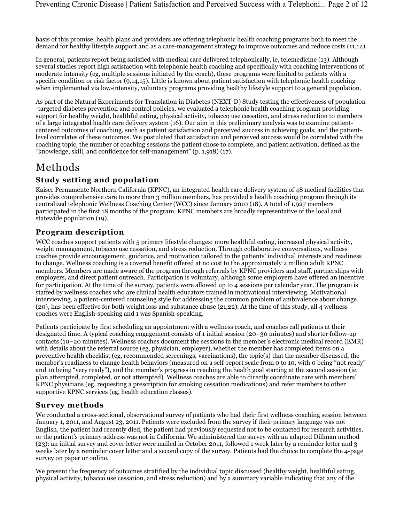basis of this promise, health plans and providers are offering telephonic health coaching programs both to meet the demand for healthy lifestyle support and as a care-management strategy to improve outcomes and reduce costs (11,12).

In general, patients report being satisfied with medical care delivered telephonically, ie, telemedicine (13). Although several studies report high satisfaction with telephonic health coaching and specifically with coaching interventions of moderate intensity (eg, multiple sessions initiated by the coach), these programs were limited to patients with a specific condition or risk factor (9,14,15). Little is known about patient satisfaction with telephonic health coaching when implemented via low-intensity, voluntary programs providing healthy lifestyle support to a general population.

As part of the Natural Experiments for Translation in Diabetes (NEXT-D) Study testing the effectiveness of population -targeted diabetes prevention and control policies, we evaluated a telephonic health coaching program providing support for healthy weight, healthful eating, physical activity, tobacco use cessation, and stress reduction to members of a large integrated health care delivery system (16). Our aim in this preliminary analysis was to examine patientcentered outcomes of coaching, such as patient satisfaction and perceived success in achieving goals, and the patientlevel correlates of these outcomes. We postulated that satisfaction and perceived success would be correlated with the coaching topic, the number of coaching sessions the patient chose to complete, and patient activation, defined as the "knowledge, skill, and confidence for self-management" (p. 1,918) (17).

## Methods

### Study setting and population

Kaiser Permanente Northern California (KPNC), an integrated health care delivery system of 48 medical facilities that provides comprehensive care to more than 3 million members, has provided a health coaching program through its centralized telephonic Wellness Coaching Center (WCC) since January 2010 (18). A total of 1,927 members participated in the first 18 months of the program. KPNC members are broadly representative of the local and statewide population (19).

### Program description

WCC coaches support patients with 5 primary lifestyle changes: more healthful eating, increased physical activity, weight management, tobacco use cessation, and stress reduction. Through collaborative conversations, wellness coaches provide encouragement, guidance, and motivation tailored to the patients' individual interests and readiness to change. Wellness coaching is a covered benefit offered at no cost to the approximately 2 million adult KPNC members. Members are made aware of the program through referrals by KPNC providers and staff, partnerships with employers, and direct patient outreach. Participation is voluntary, although some employers have offered an incentive for participation. At the time of the survey, patients were allowed up to 4 sessions per calendar year. The program is staffed by wellness coaches who are clinical health educators trained in motivational interviewing. Motivational interviewing, a patient-centered counseling style for addressing the common problem of ambivalence about change (20), has been effective for both weight loss and substance abuse (21,22). At the time of this study, all 4 wellness coaches were English-speaking and 1 was Spanish-speaking.

Patients participate by first scheduling an appointment with a wellness coach, and coaches call patients at their designated time. A typical coaching engagement consists of 1 initial session (20–30 minutes) and shorter follow-up contacts (10–20 minutes). Wellness coaches document the sessions in the member's electronic medical record (EMR) with details about the referral source (eg, physician, employer), whether the member has completed items on a preventive health checklist (eg, recommended screenings, vaccinations), the topic(s) that the member discussed, the member's readiness to change health behaviors (measured on a self-report scale from 0 to 10, with 0 being "not ready" and 10 being "very ready"), and the member's progress in reaching the health goal starting at the second session (ie, plan attempted, completed, or not attempted). Wellness coaches are able to directly coordinate care with members' KPNC physicians (eg, requesting a prescription for smoking cessation medications) and refer members to other supportive KPNC services (eg, health education classes).

### Survey methods

We conducted a cross-sectional, observational survey of patients who had their first wellness coaching session between January 1, 2011, and August 23, 2011. Patients were excluded from the survey if their primary language was not English, the patient had recently died, the patient had previously requested not to be contacted for research activities, or the patient's primary address was not in California. We administered the survey with an adapted Dillman method (23): an initial survey and cover letter were mailed in October 2011, followed 1 week later by a reminder letter and 3 weeks later by a reminder cover letter and a second copy of the survey. Patients had the choice to complete the 4-page survey on paper or online.

We present the frequency of outcomes stratified by the individual topic discussed (healthy weight, healthful eating, physical activity, tobacco use cessation, and stress reduction) and by a summary variable indicating that any of the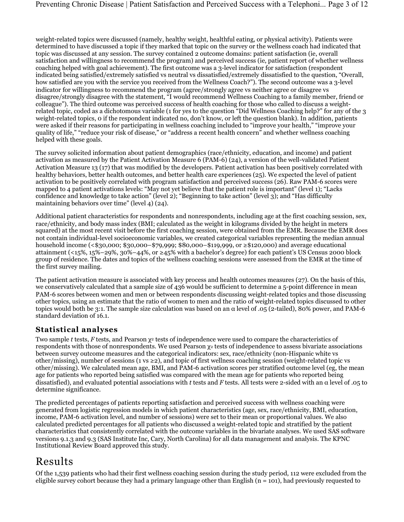weight-related topics were discussed (namely, healthy weight, healthful eating, or physical activity). Patients were determined to have discussed a topic if they marked that topic on the survey or the wellness coach had indicated that topic was discussed at any session. The survey contained 2 outcome domains: patient satisfaction (ie, overall satisfaction and willingness to recommend the program) and perceived success (ie, patient report of whether wellness coaching helped with goal achievement). The first outcome was a 3-level indicator for satisfaction (respondent indicated being satisfied/extremely satisfied vs neutral vs dissatisfied/extremely dissatisfied to the question, "Overall, how satisfied are you with the service you received from the Wellness Coach?"). The second outcome was a 3-level indicator for willingness to recommend the program (agree/strongly agree vs neither agree or disagree vs disagree/strongly disagree with the statement, "I would recommend Wellness Coaching to a family member, friend or colleague"). The third outcome was perceived success of health coaching for those who called to discuss a weightrelated topic, coded as a dichotomous variable (1 for yes to the question "Did Wellness Coaching help?" for any of the 3 weight-related topics, 0 if the respondent indicated no, don't know, or left the question blank). In addition, patients were asked if their reasons for participating in wellness coaching included to "improve your health," "improve your quality of life," "reduce your risk of disease," or "address a recent health concern" and whether wellness coaching helped with these goals.

The survey solicited information about patient demographics (race/ethnicity, education, and income) and patient activation as measured by the Patient Activation Measure 6 (PAM-6) (24), a version of the well-validated Patient Activation Measure 13 (17) that was modified by the developers. Patient activation has been positively correlated with healthy behaviors, better health outcomes, and better health care experiences (25). We expected the level of patient activation to be positively correlated with program satisfaction and perceived success (26). Raw PAM-6 scores were mapped to 4 patient activations levels: "May not yet believe that the patient role is important" (level 1); "Lacks confidence and knowledge to take action" (level 2); "Beginning to take action" (level 3); and "Has difficulty maintaining behaviors over time" (level 4) (24).

Additional patient characteristics for respondents and nonrespondents, including age at the first coaching session, sex, race/ethnicity, and body mass index (BMI; calculated as the weight in kilograms divided by the height in meters squared) at the most recent visit before the first coaching session, were obtained from the EMR. Because the EMR does not contain individual-level socioeconomic variables, we created categorical variables representing the median annual household income (<\$30,000; \$30,000–\$79,999; \$80,000–\$119,999, or ≥\$120,000) and average educational attainment (<15%, 15%–29%, 30%–44%, or ≥45% with a bachelor's degree) for each patient's US Census 2000 block group of residence. The dates and topics of the wellness coaching sessions were assessed from the EMR at the time of the first survey mailing.

The patient activation measure is associated with key process and health outcomes measures (27). On the basis of this, we conservatively calculated that a sample size of 436 would be sufficient to determine a 5-point difference in mean PAM-6 scores between women and men or between respondents discussing weight-related topics and those discussing other topics, using an estimate that the ratio of women to men and the ratio of weight-related topics discussed to other topics would both be 3:1. The sample size calculation was based on an α level of .05 (2-tailed), 80% power, and PAM-6 standard deviation of 16.1.

### Statistical analyses

Two sample  $t$  tests,  $F$  tests, and Pearson  $\chi^2$  tests of independence were used to compare the characteristics of respondents with those of nonrespondents. We used Pearson  $\chi$  tests of independence to assess bivariate associations between survey outcome measures and the categorical indicators: sex, race/ethnicity (non-Hispanic white vs other/missing), number of sessions (1 vs ≥2), and topic of first wellness coaching session (weight-related topic vs other/missing). We calculated mean age, BMI, and PAM-6 activation scores per stratified outcome level (eg, the mean age for patients who reported being satisfied was compared with the mean age for patients who reported being dissatisfied), and evaluated potential associations with t tests and F tests. All tests were 2-sided with an  $\alpha$  level of .05 to determine significance.

The predicted percentages of patients reporting satisfaction and perceived success with wellness coaching were generated from logistic regression models in which patient characteristics (age, sex, race/ethnicity, BMI, education, income, PAM-6 activation level, and number of sessions) were set to their mean or proportional values. We also calculated predicted percentages for all patients who discussed a weight-related topic and stratified by the patient characteristics that consistently correlated with the outcome variables in the bivariate analyses. We used SAS software versions 9.1.3 and 9.3 (SAS Institute Inc, Cary, North Carolina) for all data management and analysis. The KPNC Institutional Review Board approved this study.

## Results

Of the 1,539 patients who had their first wellness coaching session during the study period, 112 were excluded from the eligible survey cohort because they had a primary language other than English  $(n = 101)$ , had previously requested to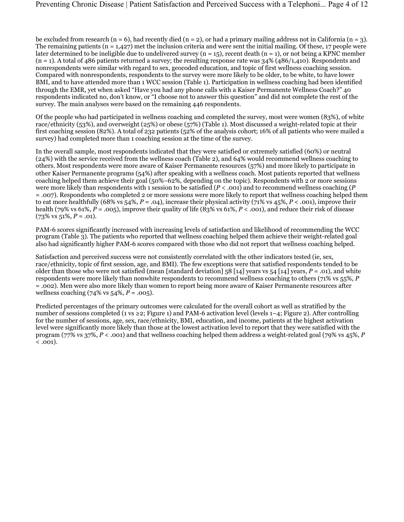be excluded from research (n = 6), had recently died (n = 2), or had a primary mailing address not in California (n = 3). The remaining patients ( $n = 1,427$ ) met the inclusion criteria and were sent the initial mailing. Of these, 17 people were later determined to be ineligible due to undelivered survey  $(n = 15)$ , recent death  $(n = 1)$ , or not being a KPNC member  $(n = 1)$ . A total of 486 patients returned a survey; the resulting response rate was  $34\%$  (486/1,410). Respondents and nonrespondents were similar with regard to sex, geocoded education, and topic of first wellness coaching session. Compared with nonrespondents, respondents to the survey were more likely to be older, to be white, to have lower BMI, and to have attended more than 1 WCC session (Table 1). Participation in wellness coaching had been identified through the EMR, yet when asked "Have you had any phone calls with a Kaiser Permanente Wellness Coach?" 40 respondents indicated no, don't know, or "I choose not to answer this question" and did not complete the rest of the survey. The main analyses were based on the remaining 446 respondents.

Of the people who had participated in wellness coaching and completed the survey, most were women (83%), of white race/ethnicity (53%), and overweight (25%) or obese (57%) (Table 1). Most discussed a weight-related topic at their first coaching session (82%). A total of 232 patients (52% of the analysis cohort; 16% of all patients who were mailed a survey) had completed more than 1 coaching session at the time of the survey.

In the overall sample, most respondents indicated that they were satisfied or extremely satisfied (60%) or neutral (24%) with the service received from the wellness coach (Table 2), and 64% would recommend wellness coaching to others. Most respondents were more aware of Kaiser Permanente resources (57%) and more likely to participate in other Kaiser Permanente programs (54%) after speaking with a wellness coach. Most patients reported that wellness coaching helped them achieve their goal (50%–62%, depending on the topic). Respondents with 2 or more sessions were more likely than respondents with 1 session to be satisfied  $(P < .001)$  and to recommend wellness coaching  $(P$ = .007). Respondents who completed 2 or more sessions were more likely to report that wellness coaching helped them to eat more healthfully (68% vs 54%,  $P = .04$ ), increase their physical activity (71% vs 45%,  $P < .001$ ), improve their health (79% vs 61%,  $P = .005$ ), improve their quality of life (83% vs 61%,  $P < .001$ ), and reduce their risk of disease  $(73\% \text{ vs } 51\%, P = .01).$ 

PAM-6 scores significantly increased with increasing levels of satisfaction and likelihood of recommending the WCC program (Table 3). The patients who reported that wellness coaching helped them achieve their weight-related goal also had significantly higher PAM-6 scores compared with those who did not report that wellness coaching helped.

Satisfaction and perceived success were not consistently correlated with the other indicators tested (ie, sex, race/ethnicity, topic of first session, age, and BMI). The few exceptions were that satisfied respondents tended to be older than those who were not satisfied (mean [standard deviation]  $58$  [14] years vs  $54$  [14] years,  $P = .01$ ), and white respondents were more likely than nonwhite respondents to recommend wellness coaching to others (71% vs 55%, P = .002). Men were also more likely than women to report being more aware of Kaiser Permanente resources after wellness coaching (74% vs 54%,  $P = .005$ ).

Predicted percentages of the primary outcomes were calculated for the overall cohort as well as stratified by the number of sessions completed (1 vs ≥2; Figure 1) and PAM-6 activation level (levels 1–4; Figure 2). After controlling for the number of sessions, age, sex, race/ethnicity, BMI, education, and income, patients at the highest activation level were significantly more likely than those at the lowest activation level to report that they were satisfied with the program (77% vs 37%,  $P < .001$ ) and that wellness coaching helped them address a weight-related goal (79% vs 45%, P  $\sim$  .001).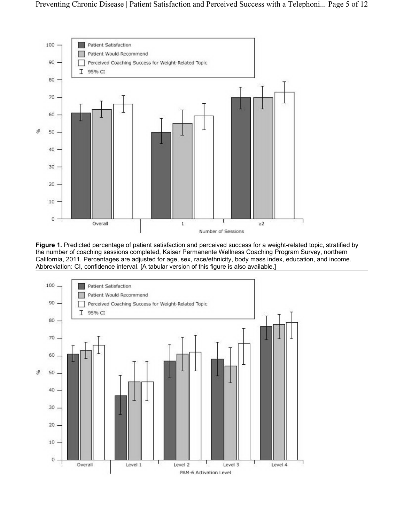

Figure 1. Predicted percentage of patient satisfaction and perceived success for a weight-related topic, stratified by the number of coaching sessions completed, Kaiser Permanente Wellness Coaching Program Survey, northern California, 2011. Percentages are adjusted for age, sex, race/ethnicity, body mass index, education, and income. Abbreviation: CI, confidence interval. [A tabular version of this figure is also available.]

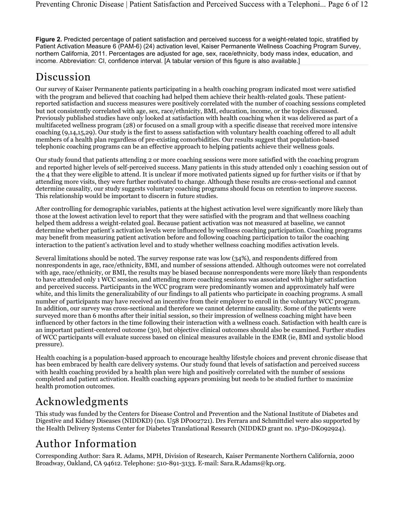Figure 2. Predicted percentage of patient satisfaction and perceived success for a weight-related topic, stratified by Patient Activation Measure 6 (PAM-6) (24) activation level, Kaiser Permanente Wellness Coaching Program Survey, northern California, 2011. Percentages are adjusted for age, sex, race/ethnicity, body mass index, education, and income. Abbreviation: CI, confidence interval. [A tabular version of this figure is also available.]

# Discussion

Our survey of Kaiser Permanente patients participating in a health coaching program indicated most were satisfied with the program and believed that coaching had helped them achieve their health-related goals. These patientreported satisfaction and success measures were positively correlated with the number of coaching sessions completed but not consistently correlated with age, sex, race/ethnicity, BMI, education, income, or the topics discussed. Previously published studies have only looked at satisfaction with health coaching when it was delivered as part of a multifaceted wellness program (28) or focused on a small group with a specific disease that received more intensive coaching (9,14,15,29). Our study is the first to assess satisfaction with voluntary health coaching offered to all adult members of a health plan regardless of pre-existing comorbidities. Our results suggest that population-based telephonic coaching programs can be an effective approach to helping patients achieve their wellness goals.

Our study found that patients attending 2 or more coaching sessions were more satisfied with the coaching program and reported higher levels of self-perceived success. Many patients in this study attended only 1 coaching session out of the 4 that they were eligible to attend. It is unclear if more motivated patients signed up for further visits or if that by attending more visits, they were further motivated to change. Although these results are cross-sectional and cannot determine causality, our study suggests voluntary coaching programs should focus on retention to improve success. This relationship would be important to discern in future studies.

After controlling for demographic variables, patients at the highest activation level were significantly more likely than those at the lowest activation level to report that they were satisfied with the program and that wellness coaching helped them address a weight-related goal. Because patient activation was not measured at baseline, we cannot determine whether patient's activation levels were influenced by wellness coaching participation. Coaching programs may benefit from measuring patient activation before and following coaching participation to tailor the coaching interaction to the patient's activation level and to study whether wellness coaching modifies activation levels.

Several limitations should be noted. The survey response rate was low (34%), and respondents differed from nonrespondents in age, race/ethnicity, BMI, and number of sessions attended. Although outcomes were not correlated with age, race/ethnicity, or BMI, the results may be biased because nonrespondents were more likely than respondents to have attended only 1 WCC session, and attending more coaching sessions was associated with higher satisfaction and perceived success. Participants in the WCC program were predominantly women and approximately half were white, and this limits the generalizability of our findings to all patients who participate in coaching programs. A small number of participants may have received an incentive from their employer to enroll in the voluntary WCC program. In addition, our survey was cross-sectional and therefore we cannot determine causality. Some of the patients were surveyed more than 6 months after their initial session, so their impression of wellness coaching might have been influenced by other factors in the time following their interaction with a wellness coach. Satisfaction with health care is an important patient-centered outcome (30), but objective clinical outcomes should also be examined. Further studies of WCC participants will evaluate success based on clinical measures available in the EMR (ie, BMI and systolic blood pressure).

Health coaching is a population-based approach to encourage healthy lifestyle choices and prevent chronic disease that has been embraced by health care delivery systems. Our study found that levels of satisfaction and perceived success with health coaching provided by a health plan were high and positively correlated with the number of sessions completed and patient activation. Health coaching appears promising but needs to be studied further to maximize health promotion outcomes.

# Acknowledgments

This study was funded by the Centers for Disease Control and Prevention and the National Institute of Diabetes and Digestive and Kidney Diseases (NIDDKD) (no. U58 DP002721). Drs Ferrara and Schmittdiel were also supported by the Health Delivery Systems Center for Diabetes Translational Research (NIDDKD grant no. 1P30-DK092924).

# Author Information

Corresponding Author: Sara R. Adams, MPH, Division of Research, Kaiser Permanente Northern California, 2000 Broadway, Oakland, CA 94612. Telephone: 510-891-3133. E-mail: Sara.R.Adams@kp.org.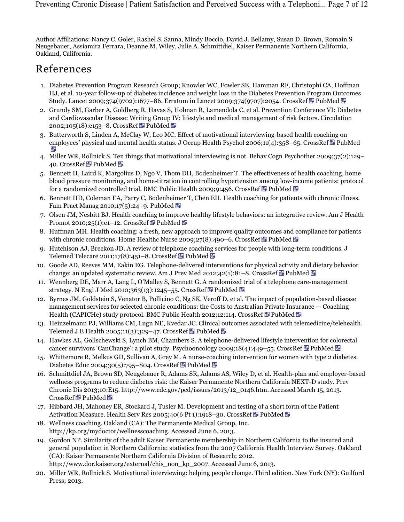Author Affiliations: Nancy C. Goler, Rashel S. Sanna, Mindy Boccio, David J. Bellamy, Susan D. Brown, Romain S. Neugebauer, Assiamira Ferrara, Deanne M. Wiley, Julie A. Schmittdiel, Kaiser Permanente Northern California, Oakland, California.

# References

- 1. Diabetes Prevention Program Research Group; Knowler WC, Fowler SE, Hamman RF, Christophi CA, Hoffman HJ, et al. 10-year follow-up of diabetes incidence and weight loss in the Diabetes Prevention Program Outcomes Study. Lancet 2009;374(9702):1677-86. Erratum in Lancet 2009;374(9707):2054. CrossRef 图 PubMed 图
- 2. Grundy SM, Garber A, Goldberg R, Havas S, Holman R, Lamendola C, et al. Prevention Conference VI: Diabetes and Cardiovascular Disease: Writing Group IV: lifestyle and medical management of risk factors. Circulation 2002;105(18):e153-8. CrossRef **R** PubMed **P**
- 3. Butterworth S, Linden A, McClay W, Leo MC. Effect of motivational interviewing-based health coaching on employees' physical and mental health status. J Occup Health Psychol 2006;11(4):358–65. CrossRef 国 PubMed
- 4. Miller WR, Rollnick S. Ten things that motivational interviewing is not. Behav Cogn Psychother 2009;37(2):129– 40. CrossRef **E** PubMed **E**
- 5. Bennett H, Laird K, Margolius D, Ngo V, Thom DH, Bodenheimer T. The effectiveness of health coaching, home blood pressure monitoring, and home-titration in controlling hypertension among low-income patients: protocol for a randomized controlled trial. BMC Public Health 2009;9:456. CrossRef  $\blacksquare$  PubMed  $\blacksquare$
- 6. Bennett HD, Coleman EA, Parry C, Bodenheimer T, Chen EH. Health coaching for patients with chronic illness. Fam Pract Manag 2010;17(5):24-9. PubMed
- 7. Olsen JM, Nesbitt BJ. Health coaching to improve healthy lifestyle behaviors: an integrative review. Am J Health Promot 2010;25(1):e1–12. CrossRef $\blacksquare$  PubMed  $\blacksquare$
- 8. Huffman MH. Health coaching: a fresh, new approach to improve quality outcomes and compliance for patients with chronic conditions. Home Healthc Nurse 2009;27(8):490–6. CrossRef  $\blacksquare$  PubMed  $\blacksquare$
- 9. Hutchison AJ, Breckon JD. A review of telephone coaching services for people with long-term conditions. J Telemed Telecare 2011;17(8):451-8. CrossRef  $\blacksquare$  PubMed  $\blacksquare$
- 10. Goode AD, Reeves MM, Eakin EG. Telephone-delivered interventions for physical activity and dietary behavior change: an updated systematic review. Am J Prev Med 2012;42(1):81–8. CrossRef **PubMed PubMed**
- 11. Wennberg DE, Marr A, Lang L, O'Malley S, Bennett G. A randomized trial of a telephone care-management strategy. N Engl J Med 2010;363(13):1245-55. CrossRef  $\blacksquare$  PubMed  $\blacksquare$
- 12. Byrnes JM, Goldstein S, Venator B, Pollicino C, Ng SK, Veroff D, et al. The impact of population-based disease management services for selected chronic conditions: the Costs to Australian Private Insurance — Coaching Health (CAPICHe) study protocol. BMC Public Health 2012;12:114. CrossRef  $\blacksquare$  PubMed  $\blacksquare$
- 13. Heinzelmann PJ, Williams CM, Lugn NE, Kvedar JC. Clinical outcomes associated with telemedicine/telehealth. Telemed J E Health 2005;11(3):329-47. CrossRef  $\blacksquare$  PubMed  $\blacksquare$
- 14. Hawkes AL, Gollschewski S, Lynch BM, Chambers S. A telephone-delivered lifestyle intervention for colorectal cancer survivors 'CanChange': a pilot study. Psychooncology 2009;18(4):449–55. CrossRef  $\blacksquare$  PubMed  $\blacksquare$
- 15. Whittemore R, Melkus GD, Sullivan A, Grey M. A nurse-coaching intervention for women with type 2 diabetes. Diabetes Educ 2004;30(5):795-804. CrossRef 图 PubMed 图
- 16. Schmittdiel JA, Brown SD, Neugebauer R, Adams SR, Adams AS, Wiley D, et al. Health-plan and employer-based wellness programs to reduce diabetes risk: the Kaiser Permanente Northern California NEXT-D study. Prev Chronic Dis 2013;10:E15. http://www.cdc.gov/pcd/issues/2013/12\_0146.htm. Accessed March 15, 2013. CrossRef **PubMed 图**
- 17. Hibbard JH, Mahoney ER, Stockard J, Tusler M. Development and testing of a short form of the Patient Activation Measure. Health Serv Res 2005;40(6 Pt 1):1918–30. CrossRef E PubMed E
- 18. Wellness coaching. Oakland (CA): The Permanente Medical Group, Inc. http://kp.org/mydoctor/wellnesscoaching. Accessed June 6, 2013.
- 19. Gordon NP. Similarity of the adult Kaiser Permanente membership in Northern California to the insured and general population in Northern California: statistics from the 2007 California Health Interview Survey. Oakland (CA): Kaiser Permanente Northern California Division of Research; 2012. http://www.dor.kaiser.org/external/chis\_non\_kp\_2007. Accessed June 6, 2013.
- 20. Miller WR, Rollnick S. Motivational interviewing: helping people change. Third edition. New York (NY): Guilford Press; 2013.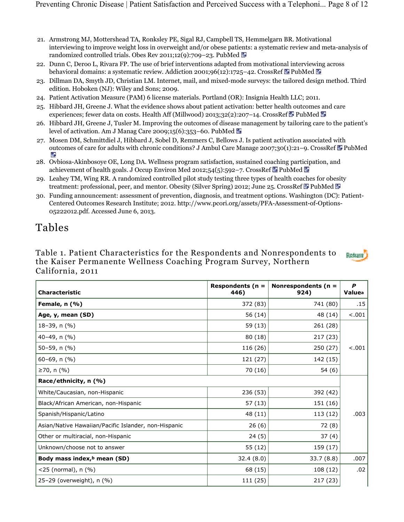- 21. Armstrong MJ, Mottershead TA, Ronksley PE, Sigal RJ, Campbell TS, Hemmelgarn BR. Motivational interviewing to improve weight loss in overweight and/or obese patients: a systematic review and meta-analysis of randomized controlled trials. Obes Rev 2011;12(9):709–23. PubMed
- 22. Dunn C, Deroo L, Rivara FP. The use of brief interventions adapted from motivational interviewing across behavioral domains: a systematic review. Addiction 2001;96(12):1725-42. CrossRef  $\blacksquare$  PubMed  $\blacksquare$
- 23. Dillman DA, Smyth JD, Christian LM. Internet, mail, and mixed-mode surveys: the tailored design method. Third edition. Hoboken (NJ): Wiley and Sons; 2009.
- 24. Patient Activation Measure (PAM) 6 license materials. Portland (OR): Insignia Health LLC; 2011.
- 25. Hibbard JH, Greene J. What the evidence shows about patient activation: better health outcomes and care experiences; fewer data on costs. Health Aff (Millwood) 2013;32(2):207–14. CrossRef  $\blacksquare$  PubMed  $\blacksquare$
- 26. Hibbard JH, Greene J, Tusler M. Improving the outcomes of disease management by tailoring care to the patient's level of activation. Am J Manag Care 2009;15(6):353–60. PubMed
- 27. Mosen DM, Schmittdiel J, Hibbard J, Sobel D, Remmers C, Bellows J. Is patient activation associated with outcomes of care for adults with chronic conditions? J Ambul Care Manage 2007;30(1):21-9. CrossRef EPubMed ie.
- 28. Ovbiosa-Akinbosoye OE, Long DA. Wellness program satisfaction, sustained coaching participation, and achievement of health goals. J Occup Environ Med 2012;54(5):592-7. CrossRef  $\blacksquare$  PubMed  $\blacksquare$
- 29. Leahey TM, Wing RR. A randomized controlled pilot study testing three types of health coaches for obesity treatment: professional, peer, and mentor. Obesity (Silver Spring) 2012; June 25. CrossRef PubMed Pu
- 30. Funding announcement: assessment of prevention, diagnosis, and treatment options. Washington (DC): Patient-Centered Outcomes Research Institute; 2012. http://www.pcori.org/assets/PFA-Assessment-of-Options-05222012.pdf. Accessed June 6, 2013.

## Tables

Table 1. Patient Characteristics for the Respondents and Nonrespondents to **Return** the Kaiser Permanente Wellness Coaching Program Survey, Northern California, 2011

| <b>Characteristic</b>                                | Respondents ( $n =$<br>446) | Nonrespondents ( $n =$<br>924) | P<br>Valuea |
|------------------------------------------------------|-----------------------------|--------------------------------|-------------|
| Female, n (%)                                        | 372 (83)                    | 741 (80)                       | .15         |
| Age, y, mean (SD)                                    | 56 (14)                     | 48 (14)                        | < .001      |
| $18-39$ , n $(%)$                                    | 59 (13)                     | 261 (28)                       |             |
| 40-49, n (%)                                         | 80 (18)                     | 217 (23)                       |             |
| $50-59$ , n $(\% )$                                  | 116 (26)                    | 250 (27)                       | $-.001$     |
| $60-69$ , n $(%)$                                    | 121 (27)                    | 142 (15)                       |             |
| ≥70, n $(%)$                                         | 70 (16)                     | 54(6)                          |             |
| Race/ethnicity, n (%)                                |                             |                                |             |
| White/Caucasian, non-Hispanic                        | 236 (53)                    | 392 (42)                       |             |
| Black/African American, non-Hispanic                 | 57 (13)                     | 151 (16)                       |             |
| Spanish/Hispanic/Latino                              | 48 (11)                     | 113 (12)                       | .003        |
| Asian/Native Hawaiian/Pacific Islander, non-Hispanic | 26(6)                       | 72 (8)                         |             |
| Other or multiracial, non-Hispanic                   | 24(5)                       | 37(4)                          |             |
| Unknown/choose not to answer                         | 55 (12)                     | 159 (17)                       |             |
| Body mass index, <sup>b</sup> mean (SD)              | 32.4(8.0)                   | 33.7(8.8)                      | .007        |
| <25 (normal), n (%)                                  | 68 (15)                     | 108 (12)                       | .02         |
| 25-29 (overweight), n (%)                            | 111 (25)                    | 217 (23)                       |             |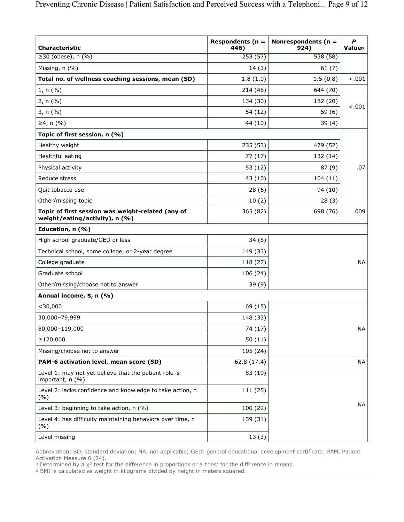| <b>Characteristic</b>                                                               | Respondents ( $n =$<br>446) | Nonrespondents ( $n =$<br>924) | $\boldsymbol{P}$<br>Valuea |
|-------------------------------------------------------------------------------------|-----------------------------|--------------------------------|----------------------------|
| $\geq$ 30 (obese), n (%)                                                            | 253(57)                     | 538(58)                        |                            |
| Missing, n (%)                                                                      | 14(3)                       | 61(7)                          |                            |
| Total no. of wellness coaching sessions, mean (SD)                                  | 1.8(1.0)                    | 1.5(0.8)                       | $-.001$                    |
| 1, n (%)                                                                            | 214 (48)                    | 644 (70)                       |                            |
| 2, n (%)                                                                            | 134 (30)                    | 182 (20)                       |                            |
| 3, n (%)                                                                            | 54 (12)                     | 59(6)                          | $-.001$                    |
| ≥4, n $(%)$                                                                         | 44 (10)                     | 39(4)                          |                            |
| Topic of first session, n (%)                                                       |                             |                                |                            |
| Healthy weight                                                                      | 235 (53)                    | 479 (52)                       |                            |
| Healthful eating                                                                    | 77(17)                      | 132 (14)                       |                            |
| Physical activity                                                                   | 53 (12)                     | 87(9)                          | .07                        |
| Reduce stress                                                                       | 43 (10)                     | 104(11)                        |                            |
| Quit tobacco use                                                                    | 28(6)                       | 94 (10)                        |                            |
| Other/missing topic                                                                 | 10(2)                       | 28(3)                          |                            |
| Topic of first session was weight-related (any of<br>weight/eating/activity), n (%) | 365 (82)                    | 698 (76)                       | .009                       |
| Education, n (%)                                                                    |                             |                                |                            |
| High school graduate/GED or less                                                    | 34(8)                       |                                |                            |
| Technical school, some college, or 2-year degree                                    | 149 (33)                    |                                |                            |
| College graduate                                                                    | 118 (27)                    |                                | <b>NA</b>                  |
| Graduate school                                                                     | 106 (24)                    |                                |                            |
| Other/missing/choose not to answer                                                  | 39 (9)                      |                                |                            |
| Annual income, \$, n (%)                                                            |                             |                                |                            |
| $<$ 30,000                                                                          | 69 (15)                     |                                |                            |
| 30,000-79,999                                                                       | 148 (33)                    |                                |                            |
| 80,000-119,000                                                                      | 74 (17)                     |                                | $\sf NA$                   |
| ≥120,000                                                                            | 50 (11)                     |                                |                            |
| Missing/choose not to answer                                                        | 105 (24)                    |                                |                            |
| PAM-6 activation level, mean score (SD)                                             | 62.8 (17.4)                 |                                | <b>NA</b>                  |
| Level 1: may not yet believe that the patient role is<br>important, n (%)           | 83 (19)                     |                                |                            |
| Level 2: lacks confidence and knowledge to take action, n<br>(%)                    | 111 (25)                    |                                |                            |
| Level 3: beginning to take action, n (%)                                            | 100 (22)                    |                                | <b>NA</b>                  |
| Level 4: has difficulty maintaining behaviors over time, n<br>(%)                   | 139 (31)                    |                                |                            |
| Level missing                                                                       | 13(3)                       |                                |                            |

Abbreviation: SD, standard deviation; NA, not applicable; GED: general educational development certificate; PAM, Patient Activation Measure 6 (24).

Determined by a  $\chi^2$  test for the difference in proportions or a t test for the difference in means. a Determined by a y<sup>2</sup>

BMI is calculated as weight in kilograms divided by height in meters squared. b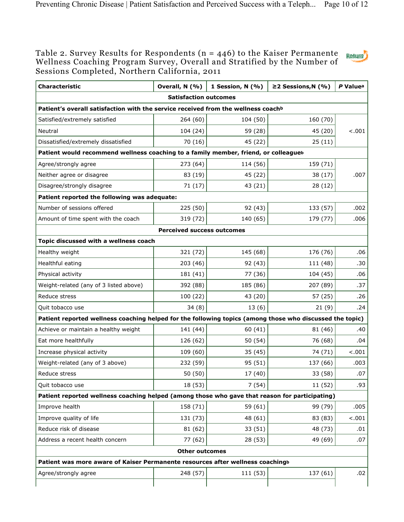### Table 2. Survey Results for Respondents (n = 446) to the Kaiser Permanente Wellness Coaching Program Survey, Overall and Stratified by the Number of Sessions Completed, Northern California, 2011

| <b>Characteristic</b>                                                                                    | Overall, N (%)                    | 1 Session, N (%) | ≥2 Sessions, $N$ (%) | P Valuea |
|----------------------------------------------------------------------------------------------------------|-----------------------------------|------------------|----------------------|----------|
| <b>Satisfaction outcomes</b>                                                                             |                                   |                  |                      |          |
| Patient's overall satisfaction with the service received from the wellness coachb                        |                                   |                  |                      |          |
| Satisfied/extremely satisfied                                                                            | 264 (60)                          | 104 (50)         | 160 (70)             |          |
| Neutral                                                                                                  | 104 (24)                          | 59 (28)          | 45 (20)              | $-.001$  |
| Dissatisfied/extremely dissatisfied                                                                      | 70 (16)                           | 45 (22)          | 25(11)               |          |
| Patient would recommend wellness coaching to a family member, friend, or colleagueb                      |                                   |                  |                      |          |
| Agree/strongly agree                                                                                     | 273 (64)                          | 114 (56)         | 159 (71)             |          |
| Neither agree or disagree                                                                                | 83 (19)                           | 45 (22)          | 38 (17)              | .007     |
| Disagree/strongly disagree                                                                               | 71 (17)                           | 43 (21)          | 28 (12)              |          |
| Patient reported the following was adequate:                                                             |                                   |                  |                      |          |
| Number of sessions offered                                                                               | 225 (50)                          | 92 (43)          | 133 (57)             | .002     |
| Amount of time spent with the coach                                                                      | 319 (72)                          | 140 (65)         | 179 (77)             | .006     |
|                                                                                                          | <b>Perceived success outcomes</b> |                  |                      |          |
| Topic discussed with a wellness coach                                                                    |                                   |                  |                      |          |
| Healthy weight                                                                                           | 321 (72)                          | 145 (68)         | 176 (76)             | .06      |
| Healthful eating                                                                                         | 203 (46)                          | 92 (43)          | 111 (48)             | .30      |
| Physical activity                                                                                        | 181 (41)                          | 77 (36)          | 104 (45)             | .06      |
| Weight-related (any of 3 listed above)                                                                   | 392 (88)                          | 185 (86)         | 207 (89)             | .37      |
| Reduce stress                                                                                            | 100 (22)                          | 43 (20)          | 57 (25)              | .26      |
| Quit tobacco use                                                                                         | 34(8)                             | 13(6)            | 21(9)                | .24      |
| Patient reported wellness coaching helped for the following topics (among those who discussed the topic) |                                   |                  |                      |          |
| Achieve or maintain a healthy weight                                                                     | 141 (44)                          | 60 (41)          | 81 (46)              | .40      |
| Eat more healthfully                                                                                     | 126 (62)                          | 50 (54)          | 76 (68)              | .04      |
| Increase physical activity                                                                               | 109 (60)                          | 35 (45)          | 74 (71)              | < .001   |
| Weight-related (any of 3 above)                                                                          | 232 (59)                          | 95 (51)          | 137 (66)             | .003     |
| Reduce stress                                                                                            | 50 (50)                           | 17 (40)          | 33 (58)              | .07      |
| Quit tobacco use                                                                                         | 18 (53)                           | 7(54)            | 11 (52)              | .93      |
| Patient reported wellness coaching helped (among those who gave that reason for participating)           |                                   |                  |                      |          |
| Improve health                                                                                           | 158 (71)                          | 59 (61)          | 99 (79)              | .005     |
| Improve quality of life                                                                                  | 131 (73)                          | 48 (61)          | 83 (83)              | $-.001$  |
| Reduce risk of disease                                                                                   | 81 (62)                           | 33 (51)          | 48 (73)              | .01      |
| Address a recent health concern                                                                          | 77 (62)                           | 28 (53)          | 49 (69)              | .07      |
| <b>Other outcomes</b>                                                                                    |                                   |                  |                      |          |
| Patient was more aware of Kaiser Permanente resources after wellness coachingb                           |                                   |                  |                      |          |
| Agree/strongly agree                                                                                     | 248 (57)                          | 111 (53)         | 137 (61)             | .02      |
|                                                                                                          |                                   |                  |                      |          |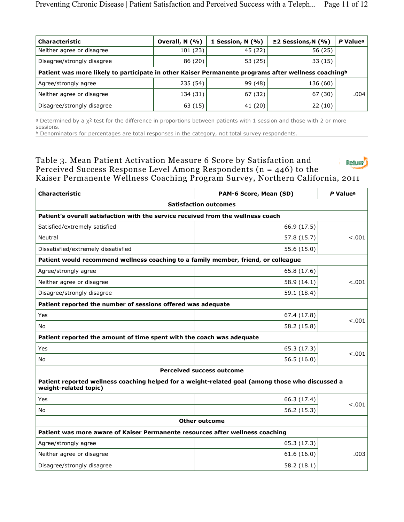| <b>Characteristic</b>                                                                                           | Overall, N (%) | 1 Session, $N(% )$ | ≥2 Sessions, $N$ (%) | P Value <sup>a</sup> |
|-----------------------------------------------------------------------------------------------------------------|----------------|--------------------|----------------------|----------------------|
| Neither agree or disagree                                                                                       | 101(23)        | 45 (22)            | 56 (25)              |                      |
| Disagree/strongly disagree                                                                                      | 86 (20)        | 53 (25)            | 33(15)               |                      |
| Patient was more likely to participate in other Kaiser Permanente programs after wellness coaching <sup>b</sup> |                |                    |                      |                      |
| Agree/strongly agree                                                                                            | 235 (54)       | 99 (48)            | 136 (60)             |                      |
| Neither agree or disagree                                                                                       | 134 (31)       | 67 (32)            | 67 (30)              | .004                 |
| Disagree/strongly disagree                                                                                      | 63 (15)        | 41 (20)            | 22(10)               |                      |

<sup>a</sup> Determined by a χ<sup>2</sup> test for the difference in proportions between patients with 1 session and those with 2 or more sessions.

 $b$  Denominators for percentages are total responses in the category, not total survey respondents.

Table 3. Mean Patient Activation Measure 6 Score by Satisfaction and **Return** Perceived Success Response Level Among Respondents ( $n = 446$ ) to the Kaiser Permanente Wellness Coaching Program Survey, Northern California, 2011

| <b>Characteristic</b>                                                                                                     | PAM-6 Score, Mean (SD) | P Valuea |  |
|---------------------------------------------------------------------------------------------------------------------------|------------------------|----------|--|
| <b>Satisfaction outcomes</b>                                                                                              |                        |          |  |
| Patient's overall satisfaction with the service received from the wellness coach                                          |                        |          |  |
| Satisfied/extremely satisfied                                                                                             | 66.9 (17.5)            | < .001   |  |
| Neutral                                                                                                                   | 57.8 (15.7)            |          |  |
| Dissatisfied/extremely dissatisfied                                                                                       | 55.6 (15.0)            |          |  |
| Patient would recommend wellness coaching to a family member, friend, or colleague                                        |                        |          |  |
| Agree/strongly agree                                                                                                      | 65.8 (17.6)            |          |  |
| Neither agree or disagree                                                                                                 | 58.9 (14.1)            | < .001   |  |
| Disagree/strongly disagree                                                                                                | 59.1 (18.4)            |          |  |
| Patient reported the number of sessions offered was adequate                                                              |                        |          |  |
| Yes                                                                                                                       | 67.4 (17.8)            | < .001   |  |
| <b>No</b>                                                                                                                 | 58.2 (15.8)            |          |  |
| Patient reported the amount of time spent with the coach was adequate                                                     |                        |          |  |
| Yes                                                                                                                       | 65.3 (17.3)            |          |  |
| <b>No</b>                                                                                                                 | 56.5(16.0)             | 1001     |  |
| <b>Perceived success outcome</b>                                                                                          |                        |          |  |
| Patient reported wellness coaching helped for a weight-related goal (among those who discussed a<br>weight-related topic) |                        |          |  |
| Yes                                                                                                                       | 66.3 (17.4)            | < .001   |  |
| No                                                                                                                        | 56.2 (15.3)            |          |  |
| <b>Other outcome</b>                                                                                                      |                        |          |  |
| Patient was more aware of Kaiser Permanente resources after wellness coaching                                             |                        |          |  |
| Agree/strongly agree                                                                                                      | 65.3 (17.3)            | .003     |  |
| Neither agree or disagree                                                                                                 | 61.6(16.0)             |          |  |
| Disagree/strongly disagree                                                                                                | 58.2 (18.1)            |          |  |